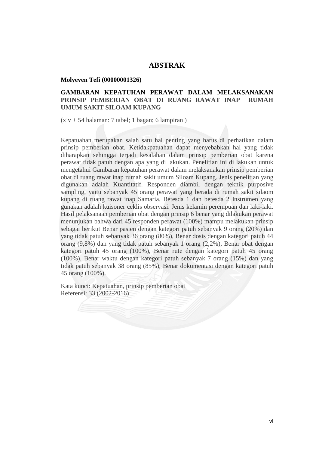## **ABSTRAK**

#### **Molyeven Tefi (00000001326)**

## **GAMBARAN KEPATUHAN PERAWAT DALAM MELAKSANAKAN PRINSIP PEMBERIAN OBAT DI RUANG RAWAT INAP RUMAH UMUM SAKIT SILOAM KUPANG**

(xiv + 54 halaman: 7 tabel; 1 bagan; 6 lampiran )

Kepatuahan merupakan salah satu hal penting yang harus di perhatikan dalam prinsip pemberian obat. Ketidakpatuahan dapat menyebabkan hal yang tidak diharapkan sehingga terjadi kesalahan dalam prinsip pemberian obat karena perawat tidak patuh dengan apa yang di lakukan. Penelitian ini di lakukan untuk mengetahui Gambaran kepatuhan perawat dalam melaksanakan prinsip pemberian obat di ruang rawat inap rumah sakit umum Siloam Kupang. Jenis penelitian yang digunakan adalah Kuantitatif. Responden diambil dengan teknik purposive sampling, yaitu sebanyak 45 orang perawat yang berada di rumah sakit silaom kupang di ruang rawat inap Samaria, Betesda 1 dan betesda 2 Instrumen yang gunakan adalah kuisoner ceklis observasi. Jenis kelamin perempuan dan laki-laki. Hasil pelaksanaan pemberian obat dengan prinsip 6 benar yang dilakukan perawat menunjukan bahwa dari 45 responden perawat (100%) mampu melakukan prinsip sebagai berikut Benar pasien dengan kategori patuh sebanyak 9 orang (20%) dan yang tidak patuh sebanyak 36 orang (80%), Benar dosis dengan kategori patuh 44 orang (9,8%) dan yang tidak patuh sebanyak 1 orang (2,2%), Benar obat dengan kategori patuh 45 orang (100%), Benar rute dengan kategori patuh 45 orang (100%), Benar waktu dengan kategori patuh sebanyak 7 orang (15%) dan yang tidak patuh sebanyak 38 orang (85%), Benar dokumentasi dengan kategori patuh 45 orang (100%).

Kata kunci: Kepatuahan, prinsip pemberian obat Referensi: 33 (2002-2016)